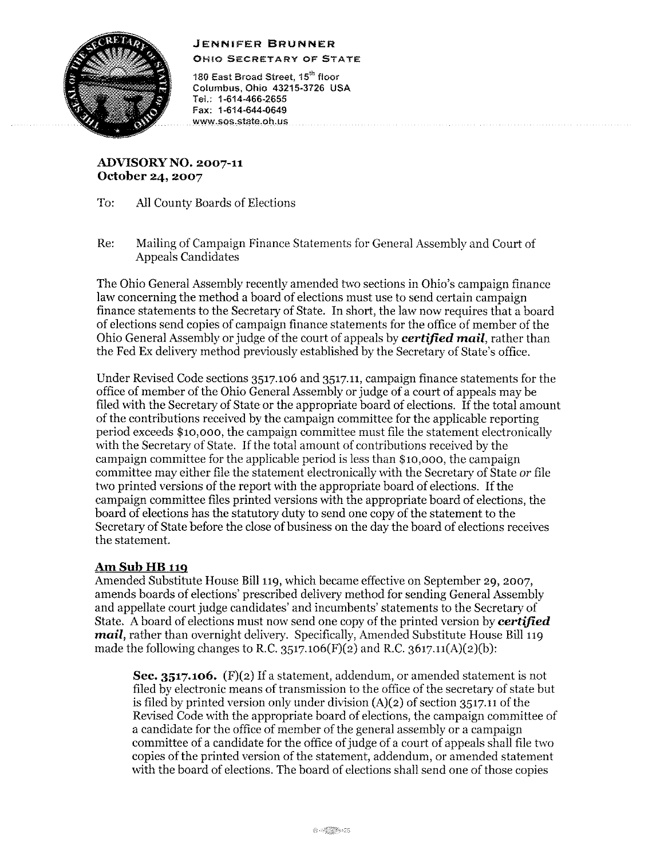## **JENNIFER BRUNNER**



OHIO SECRETARY OF STATE

180 East Broad Street, 15th floor Columbus, Ohio 43215-3726 USA Tel.: 1-614-466-2655 Fax: 1-614-644-0649 www.sos.state.oh.us

**ADVISORY NO. 2007-11 October 24, 2007** 

- To: All County Boards of Elections
- Re: Mailing of Campaign Finance Statements for General Assembly and Court of Appeals Candidates

The Ohio General Assembly recently amended two sections in Ohio's campaign finance law concerning the method a board of elections must use to send certain campaign finance statements to the Secretary of State. In short, the law now requires that a board of elections send copies of campaign finance statements for the office of member of the Ohio General Assembly or judge of the court of appeals by *certified mail,* rather than the Fed Ex delivery method previously established by the Secretary of State's office.

Under Revised Code sections 3517.106 and 3517.11, campaign finance statements for the office of member of the Ohio General Assembly or judge of a court of appeals may be filed with the Secretary of State or the appropriate board of elections. If the total amount of the contributions received by the campaign committee for the applicable reporting period exceeds \$10,000, the campaign committee must file the statement electronically with the Secretary of State. If the total amount of contributions received by the campaign committee for the applicable period is less than \$10,000, the campaign committee may either file the statement electronically with the Secretary of State *or* file two printed versions of the report with the appropriate board of elections. If the campaign committee files printed versions with the appropriate board of elections, the board of elections has the statutory duty to send one copy of the statement to the Secretary of State before the close of business on the day the board of elections receives the statement.

## **AmSubHB119**

Amended Substitute House Bill 119, which became effective on September 29, 2007, amends boards of elections' prescribed delivery method for sending General Assembly and appellate court judge candidates' and incumbents' statements to the Secretary of State. A board of elections must now send one copy of the printed version by *certified mail,* rather than overnight delivery. Specifically, Amended Substitute House Bill 119 made the following changes to R.C. 3517.106(F)(2) and R.C. 3617.11(A)(2)(b):

**Sec. 3517.106.** (F)(2) If a statement, addendum, or amended statement is not filed by electronic means of transmission to the office of the secretary of state but is filed by printed version only under division (A)(2) of section 3517.11 of the Revised Code with the appropriate board of elections, the campaign committee of a candidate for the office of member of the general assembly or a campaign committee of a candidate for the office of judge of a court of appeals shall file two copies of the printed version of the statement, addendum, or amended statement with the board of elections. The board of elections shall send one of those copies